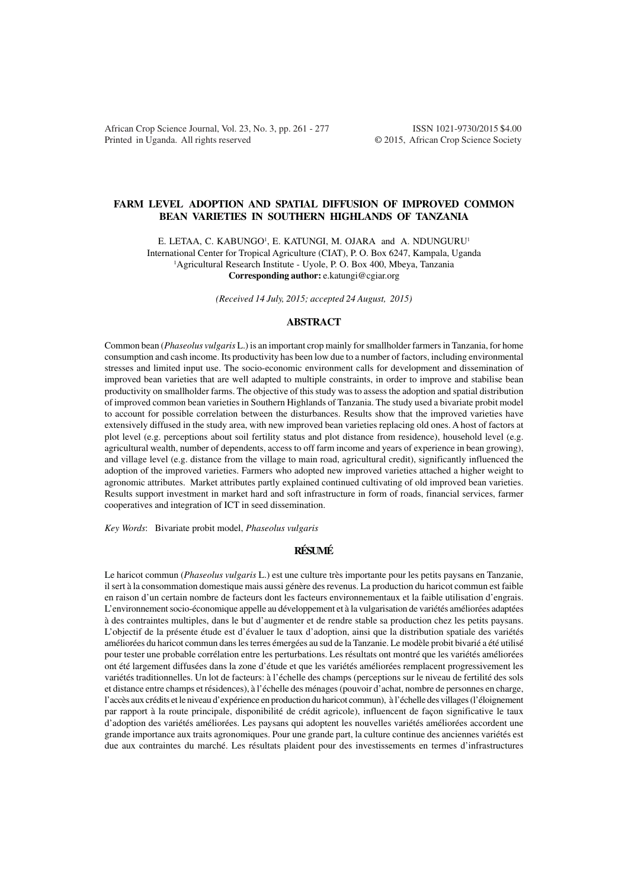African Crop Science Journal, Vol. 23, No. 3, pp. 261 - 277 ISSN 1021-9730/2015 \$4.00 Printed in Uganda. All rights reserved © 2015, African Crop Science Society

# **FARM LEVEL ADOPTION AND SPATIAL DIFFUSION OF IMPROVED COMMON BEAN VARIETIES IN SOUTHERN HIGHLANDS OF TANZANIA**

E. LETAA, C. KABUNGO<sup>1</sup>, E. KATUNGI, M. OJARA and A. NDUNGURU<sup>1</sup> International Center for Tropical Agriculture (CIAT), P. O. Box 6247, Kampala, Uganda <sup>1</sup>Agricultural Research Institute - Uyole, P. O. Box 400, Mbeya, Tanzania **Corresponding author:** e.katungi@cgiar.org

*(Received 14 July, 2015; accepted 24 August, 2015)*

# **ABSTRACT**

Common bean (*Phaseolus vulgaris* L.) is an important crop mainly for smallholder farmers in Tanzania, for home consumption and cash income. Its productivity has been low due to a number of factors, including environmental stresses and limited input use. The socio-economic environment calls for development and dissemination of improved bean varieties that are well adapted to multiple constraints, in order to improve and stabilise bean productivity on smallholder farms. The objective of this study was to assess the adoption and spatial distribution of improved common bean varieties in Southern Highlands of Tanzania. The study used a bivariate probit model to account for possible correlation between the disturbances. Results show that the improved varieties have extensively diffused in the study area, with new improved bean varieties replacing old ones. A host of factors at plot level (e.g. perceptions about soil fertility status and plot distance from residence), household level (e.g. agricultural wealth, number of dependents, access to off farm income and years of experience in bean growing), and village level (e.g. distance from the village to main road, agricultural credit), significantly influenced the adoption of the improved varieties. Farmers who adopted new improved varieties attached a higher weight to agronomic attributes. Market attributes partly explained continued cultivating of old improved bean varieties. Results support investment in market hard and soft infrastructure in form of roads, financial services, farmer cooperatives and integration of ICT in seed dissemination.

*Key Words*: Bivariate probit model, *Phaseolus vulgaris*

#### **RÉSUMÉ**

Le haricot commun (*Phaseolus vulgaris* L.) est une culture très importante pour les petits paysans en Tanzanie, il sert à la consommation domestique mais aussi génère des revenus. La production du haricot commun est faible en raison d'un certain nombre de facteurs dont les facteurs environnementaux et la faible utilisation d'engrais. L'environnement socio-économique appelle au développement et à la vulgarisation de variétés améliorées adaptées à des contraintes multiples, dans le but d'augmenter et de rendre stable sa production chez les petits paysans. L'objectif de la présente étude est d'évaluer le taux d'adoption, ainsi que la distribution spatiale des variétés améliorées du haricot commun dans les terres émergées au sud de la Tanzanie. Le modèle probit bivarié a été utilisé pour tester une probable corrélation entre les perturbations. Les résultats ont montré que les variétés améliorées ont été largement diffusées dans la zone d'étude et que les variétés améliorées remplacent progressivement les variétés traditionnelles. Un lot de facteurs: à l'échelle des champs (perceptions sur le niveau de fertilité des sols et distance entre champs et résidences), à l'échelle des ménages (pouvoir d'achat, nombre de personnes en charge, l'accès aux crédits et le niveau d'expérience en production du haricot commun), à l'échelle des villages (l'éloignement par rapport à la route principale, disponibilité de crédit agricole), influencent de façon significative le taux d'adoption des variétés améliorées. Les paysans qui adoptent les nouvelles variétés améliorées accordent une grande importance aux traits agronomiques. Pour une grande part, la culture continue des anciennes variétés est due aux contraintes du marché. Les résultats plaident pour des investissements en termes d'infrastructures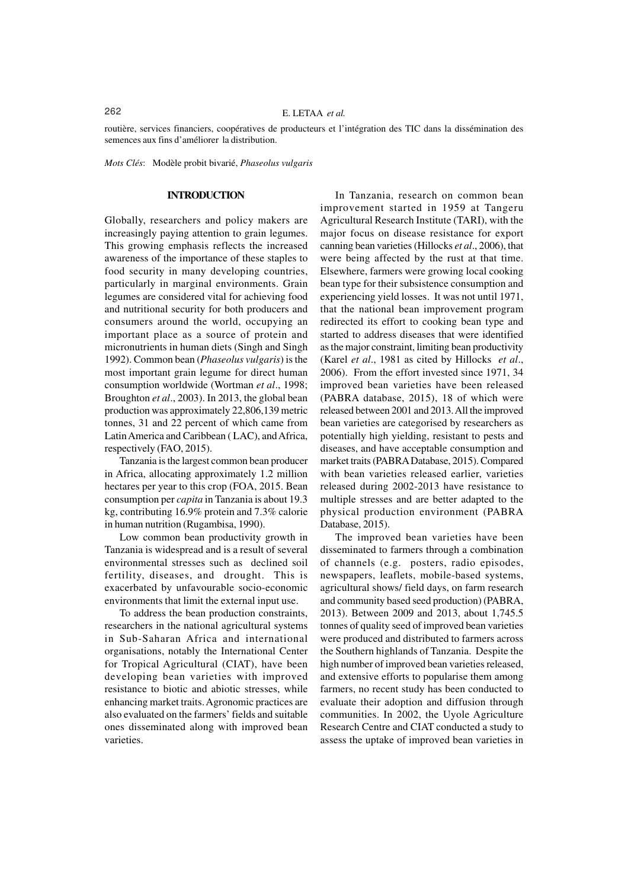routière, services financiers, coopératives de producteurs et l'intégration des TIC dans la dissémination des semences aux fins d'améliorer la distribution.

*Mots Clés*: Modèle probit bivarié, *Phaseolus vulgaris*

#### **INTRODUCTION**

Globally, researchers and policy makers are increasingly paying attention to grain legumes. This growing emphasis reflects the increased awareness of the importance of these staples to food security in many developing countries, particularly in marginal environments. Grain legumes are considered vital for achieving food and nutritional security for both producers and consumers around the world, occupying an important place as a source of protein and micronutrients in human diets (Singh and Singh 1992). Common bean (*Phaseolus vulgaris*) is the most important grain legume for direct human consumption worldwide (Wortman *et al*., 1998; Broughton *et al*., 2003). In 2013, the global bean production was approximately 22,806,139 metric tonnes, 31 and 22 percent of which came from Latin America and Caribbean ( LAC), and Africa, respectively (FAO, 2015).

Tanzania is the largest common bean producer in Africa, allocating approximately 1.2 million hectares per year to this crop (FOA, 2015. Bean consumption per *capita* in Tanzania is about 19.3 kg, contributing 16.9% protein and 7.3% calorie in human nutrition (Rugambisa, 1990).

Low common bean productivity growth in Tanzania is widespread and is a result of several environmental stresses such as declined soil fertility, diseases, and drought. This is exacerbated by unfavourable socio-economic environments that limit the external input use.

To address the bean production constraints, researchers in the national agricultural systems in Sub-Saharan Africa and international organisations, notably the International Center for Tropical Agricultural (CIAT), have been developing bean varieties with improved resistance to biotic and abiotic stresses, while enhancing market traits. Agronomic practices are also evaluated on the farmers' fields and suitable ones disseminated along with improved bean varieties.

In Tanzania, research on common bean improvement started in 1959 at Tangeru Agricultural Research Institute (TARI), with the major focus on disease resistance for export canning bean varieties (Hillocks *et al*., 2006), that were being affected by the rust at that time. Elsewhere, farmers were growing local cooking bean type for their subsistence consumption and experiencing yield losses. It was not until 1971, that the national bean improvement program redirected its effort to cooking bean type and started to address diseases that were identified as the major constraint, limiting bean productivity (Karel *et al*., 1981 as cited by Hillocks *et al*., 2006). From the effort invested since 1971, 34 improved bean varieties have been released (PABRA database, 2015), 18 of which were released between 2001 and 2013. All the improved bean varieties are categorised by researchers as potentially high yielding, resistant to pests and diseases, and have acceptable consumption and market traits (PABRA Database, 2015). Compared with bean varieties released earlier, varieties released during 2002-2013 have resistance to multiple stresses and are better adapted to the physical production environment (PABRA Database, 2015).

The improved bean varieties have been disseminated to farmers through a combination of channels (e.g. posters, radio episodes, newspapers, leaflets, mobile-based systems, agricultural shows/ field days, on farm research and community based seed production) (PABRA, 2013). Between 2009 and 2013, about 1,745.5 tonnes of quality seed of improved bean varieties were produced and distributed to farmers across the Southern highlands of Tanzania. Despite the high number of improved bean varieties released, and extensive efforts to popularise them among farmers, no recent study has been conducted to evaluate their adoption and diffusion through communities. In 2002, the Uyole Agriculture Research Centre and CIAT conducted a study to assess the uptake of improved bean varieties in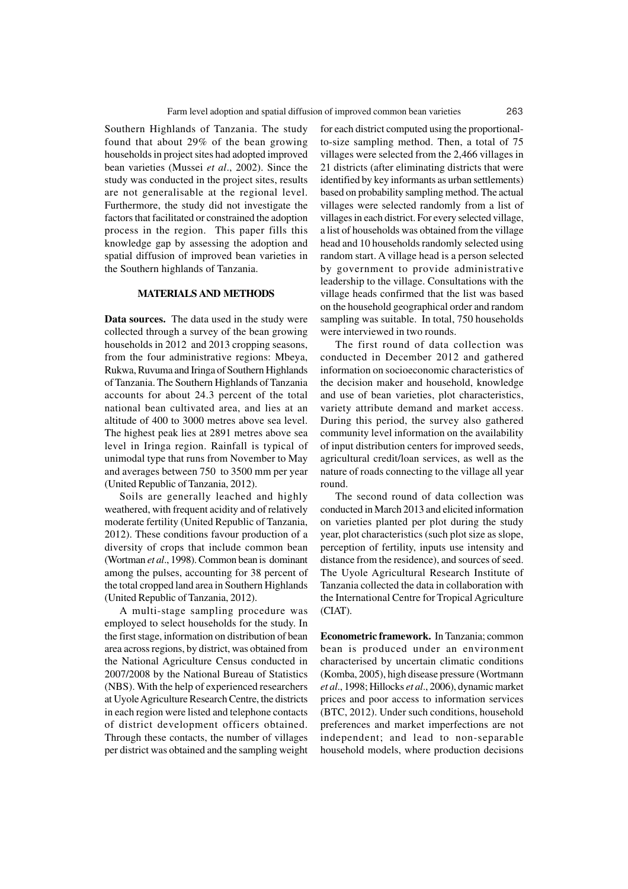Southern Highlands of Tanzania. The study found that about 29% of the bean growing households in project sites had adopted improved bean varieties (Mussei *et al*., 2002). Since the study was conducted in the project sites, results are not generalisable at the regional level. Furthermore, the study did not investigate the factors that facilitated or constrained the adoption process in the region. This paper fills this knowledge gap by assessing the adoption and spatial diffusion of improved bean varieties in the Southern highlands of Tanzania.

### **MATERIALS AND METHODS**

**Data sources.** The data used in the study were collected through a survey of the bean growing households in 2012 and 2013 cropping seasons, from the four administrative regions: Mbeya, Rukwa, Ruvuma and Iringa of Southern Highlands of Tanzania. The Southern Highlands of Tanzania accounts for about 24.3 percent of the total national bean cultivated area, and lies at an altitude of 400 to 3000 metres above sea level. The highest peak lies at 2891 metres above sea level in Iringa region. Rainfall is typical of unimodal type that runs from November to May and averages between 750 to 3500 mm per year (United Republic of Tanzania, 2012).

Soils are generally leached and highly weathered, with frequent acidity and of relatively moderate fertility (United Republic of Tanzania, 2012). These conditions favour production of a diversity of crops that include common bean (Wortman *et al*., 1998). Common bean is dominant among the pulses, accounting for 38 percent of the total cropped land area in Southern Highlands (United Republic of Tanzania, 2012).

A multi-stage sampling procedure was employed to select households for the study. In the first stage, information on distribution of bean area across regions, by district, was obtained from the National Agriculture Census conducted in 2007/2008 by the National Bureau of Statistics (NBS). With the help of experienced researchers at Uyole Agriculture Research Centre, the districts in each region were listed and telephone contacts of district development officers obtained. Through these contacts, the number of villages per district was obtained and the sampling weight for each district computed using the proportionalto-size sampling method. Then, a total of 75 villages were selected from the 2,466 villages in 21 districts (after eliminating districts that were identified by key informants as urban settlements) based on probability sampling method. The actual villages were selected randomly from a list of villages in each district. For every selected village, a list of households was obtained from the village head and 10 households randomly selected using random start. A village head is a person selected by government to provide administrative leadership to the village. Consultations with the village heads confirmed that the list was based on the household geographical order and random sampling was suitable. In total, 750 households were interviewed in two rounds.

The first round of data collection was conducted in December 2012 and gathered information on socioeconomic characteristics of the decision maker and household, knowledge and use of bean varieties, plot characteristics, variety attribute demand and market access. During this period, the survey also gathered community level information on the availability of input distribution centers for improved seeds, agricultural credit/loan services, as well as the nature of roads connecting to the village all year round.

The second round of data collection was conducted in March 2013 and elicited information on varieties planted per plot during the study year, plot characteristics (such plot size as slope, perception of fertility, inputs use intensity and distance from the residence), and sources of seed. The Uyole Agricultural Research Institute of Tanzania collected the data in collaboration with the International Centre for Tropical Agriculture (CIAT).

**Econometric framework.** In Tanzania; common bean is produced under an environment characterised by uncertain climatic conditions (Komba, 2005), high disease pressure (Wortmann *et al*., 1998; Hillocks *et al*., 2006), dynamic market prices and poor access to information services (BTC, 2012). Under such conditions, household preferences and market imperfections are not independent; and lead to non-separable household models, where production decisions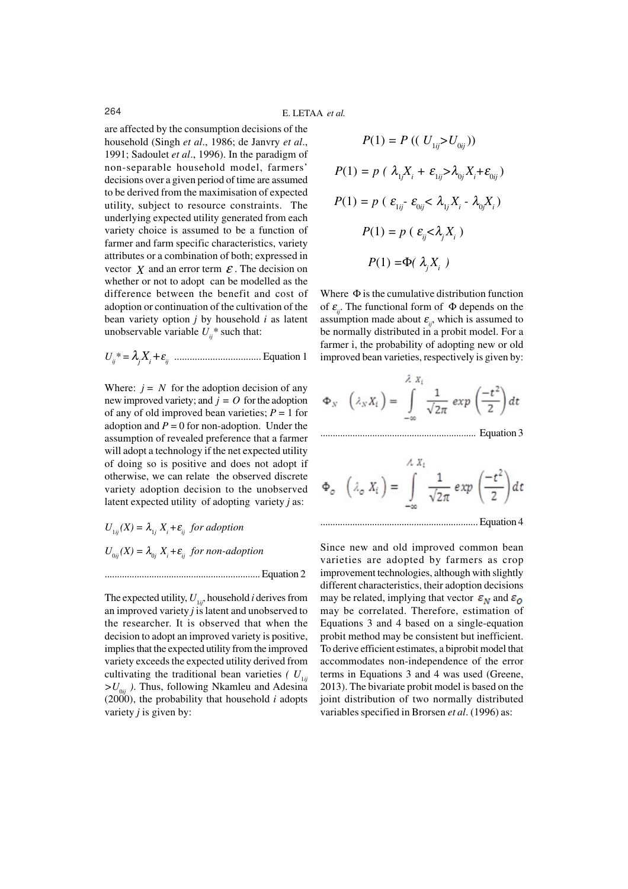are affected by the consumption decisions of the household (Singh *et al*., 1986; de Janvry *et al*., 1991; Sadoulet *et al*., 1996). In the paradigm of non-separable household model, farmers' decisions over a given period of time are assumed to be derived from the maximisation of expected utility, subject to resource constraints. The underlying expected utility generated from each variety choice is assumed to be a function of farmer and farm specific characteristics, variety attributes or a combination of both; expressed in vector  $\chi$  and an error term  $\epsilon$ . The decision on whether or not to adopt can be modelled as the difference between the benefit and cost of adoption or continuation of the cultivation of the bean variety option *j* by household *i* as latent unobservable variable  $U_i^*$  such that:

*<sup>U</sup>ij\* =* λ*j Xi +*<sup>ε</sup> *ij* .................................. Equation 1

Where:  $j = N$  for the adoption decision of any new improved variety; and  $j = O$  for the adoption of any of old improved bean varieties;  $P = 1$  for adoption and  $P = 0$  for non-adoption. Under the assumption of revealed preference that a farmer will adopt a technology if the net expected utility of doing so is positive and does not adopt if otherwise, we can relate the observed discrete variety adoption decision to the unobserved latent expected utility of adopting variety *j* as:

 $U_{1ij}(X) = \lambda_{1j} X_i + \varepsilon_{ij}$  for adoption  $U_{0ij}(X) = \lambda_{0j} X_i + \varepsilon_{ij}$  for non-adoption

............................................................... Equation 2

The expected utility,  $U_{1ii}$ , household *i* derives from an improved variety *j* is latent and unobserved to the researcher. It is observed that when the decision to adopt an improved variety is positive, implies that the expected utility from the improved variety exceeds the expected utility derived from cultivating the traditional bean varieties  $(U_{1ii})$  $>U_{0ii}$ ). Thus, following Nkamleu and Adesina  $(2000)$ , the probability that household *i* adopts variety *j* is given by:

$$
P(1) = P((U_{1ij} > U_{0ij}))
$$
  
\n
$$
P(1) = p(\lambda_1 X_i + \varepsilon_{1ij} > \lambda_{0j} X_i + \varepsilon_{0ij})
$$
  
\n
$$
P(1) = p(\varepsilon_{1ij} - \varepsilon_{0ij} < \lambda_{1j} X_i - \lambda_{0j} X_i)
$$
  
\n
$$
P(1) = p(\varepsilon_{ij} < \lambda_j X_i)
$$
  
\n
$$
P(1) = \Phi(\lambda_j X_i)
$$

Where  $\Phi$  is the cumulative distribution function of  $\varepsilon_{ij}$ . The functional form of  $\Phi$  depends on the assumption made about  $\varepsilon_{ij}$ , which is assumed to be normally distributed in a probit model. For a farmer i, the probability of adopting new or old improved bean varieties, respectively is given by:

$$
\Phi_{N} \quad \left(\lambda_{N} X_{t}\right) = \int_{-\infty}^{\lambda} \frac{1}{\sqrt{2\pi}} \exp\left(\frac{-t^{2}}{2}\right) dt
$$

............................................................... Equation 3

................................................................ Equation 4

Since new and old improved common bean varieties are adopted by farmers as crop improvement technologies, although with slightly different characteristics, their adoption decisions may be related, implying that vector  $\varepsilon_N$  and  $\varepsilon_Q$ may be correlated. Therefore, estimation of Equations 3 and 4 based on a single-equation probit method may be consistent but inefficient. To derive efficient estimates, a biprobit model that accommodates non-independence of the error terms in Equations 3 and 4 was used (Greene, 2013). The bivariate probit model is based on the joint distribution of two normally distributed variables specified in Brorsen *et al*. (1996) as: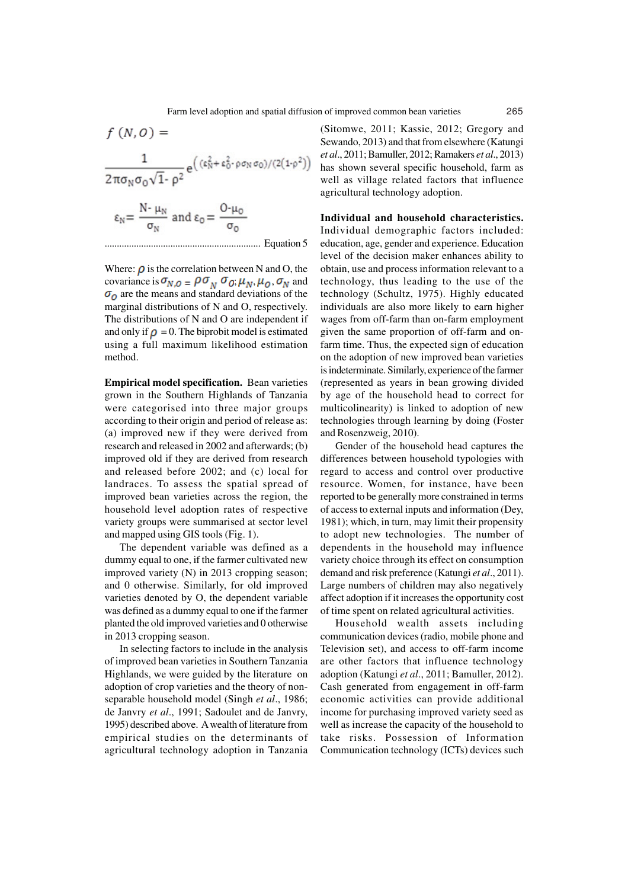$$
f(N, 0) =
$$
\n
$$
\frac{1}{2\pi\sigma_N\sigma_0\sqrt{1-\rho^2}} e\left((\epsilon_N^2 + \epsilon_0^2 \cdot \rho \sigma_N \sigma_0)/(2(1-\rho^2)\right)
$$
\n
$$
\epsilon_N = \frac{N \cdot \mu_N}{\sigma_N} \text{ and } \epsilon_0 = \frac{O \cdot \mu_0}{\sigma_0}
$$

................................................................ Equation 5

Where:  $\rho$  is the correlation between N and O, the covariance is  $\sigma_{N,O} = \rho \sigma_{N} \sigma_{O}, \mu_{N}, \mu_{O}, \sigma_{N}$  and  $\sigma$ <sub>o</sub> are the means and standard deviations of the marginal distributions of N and O, respectively. The distributions of N and O are independent if and only if  $\rho = 0$ . The biprobit model is estimated using a full maximum likelihood estimation method.

**Empirical model specification.** Bean varieties grown in the Southern Highlands of Tanzania were categorised into three major groups according to their origin and period of release as: (a) improved new if they were derived from research and released in 2002 and afterwards; (b) improved old if they are derived from research and released before 2002; and (c) local for landraces. To assess the spatial spread of improved bean varieties across the region, the household level adoption rates of respective variety groups were summarised at sector level and mapped using GIS tools (Fig. 1).

The dependent variable was defined as a dummy equal to one, if the farmer cultivated new improved variety (N) in 2013 cropping season; and 0 otherwise. Similarly, for old improved varieties denoted by O, the dependent variable was defined as a dummy equal to one if the farmer planted the old improved varieties and 0 otherwise in 2013 cropping season.

In selecting factors to include in the analysis of improved bean varieties in Southern Tanzania Highlands, we were guided by the literature on adoption of crop varieties and the theory of nonseparable household model (Singh *et al*., 1986; de Janvry *et al*., 1991; Sadoulet and de Janvry, 1995) described above. A wealth of literature from empirical studies on the determinants of agricultural technology adoption in Tanzania

(Sitomwe, 2011; Kassie, 2012; Gregory and Sewando, 2013) and that from elsewhere (Katungi *et al*., 2011; Bamuller, 2012; Ramakers *et al*., 2013) has shown several specific household, farm as well as village related factors that influence agricultural technology adoption.

**Individual and household characteristics.** Individual demographic factors included: education, age, gender and experience. Education level of the decision maker enhances ability to obtain, use and process information relevant to a technology, thus leading to the use of the technology (Schultz, 1975). Highly educated individuals are also more likely to earn higher wages from off-farm than on-farm employment given the same proportion of off-farm and onfarm time. Thus, the expected sign of education on the adoption of new improved bean varieties is indeterminate. Similarly, experience of the farmer (represented as years in bean growing divided by age of the household head to correct for multicolinearity) is linked to adoption of new technologies through learning by doing (Foster and Rosenzweig, 2010).

Gender of the household head captures the differences between household typologies with regard to access and control over productive resource. Women, for instance, have been reported to be generally more constrained in terms of access to external inputs and information (Dey, 1981); which, in turn, may limit their propensity to adopt new technologies. The number of dependents in the household may influence variety choice through its effect on consumption demand and risk preference (Katungi *et al*., 2011). Large numbers of children may also negatively affect adoption if it increases the opportunity cost of time spent on related agricultural activities.

Household wealth assets including communication devices (radio, mobile phone and Television set), and access to off-farm income are other factors that influence technology adoption (Katungi *et al*., 2011; Bamuller, 2012). Cash generated from engagement in off-farm economic activities can provide additional income for purchasing improved variety seed as well as increase the capacity of the household to take risks. Possession of Information Communication technology (ICTs) devices such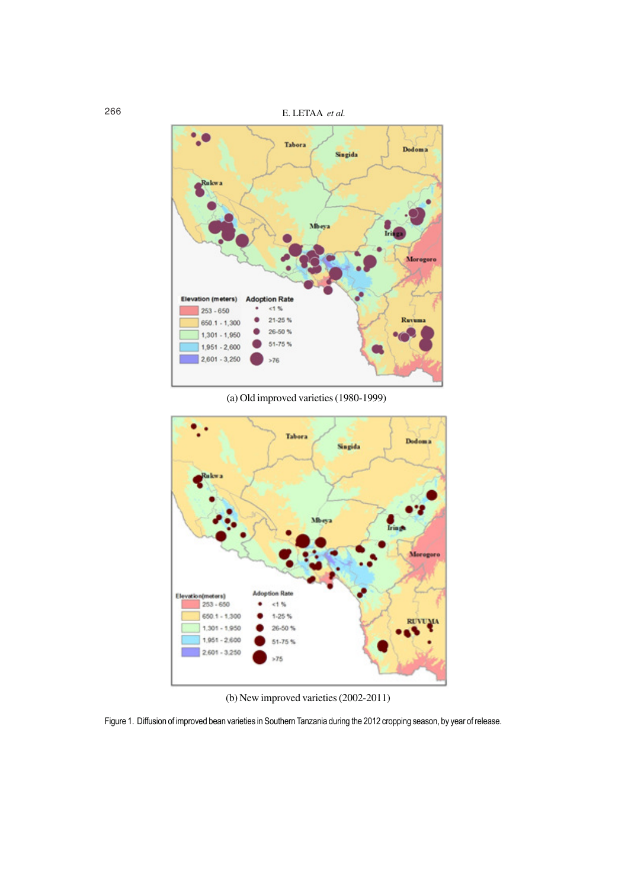

(a) Old improved varieties (1980-1999)



(b) New improved varieties (2002-2011)

Figure 1. Diffusion of improved bean varieties in Southern Tanzania during the 2012 cropping season, by year of release.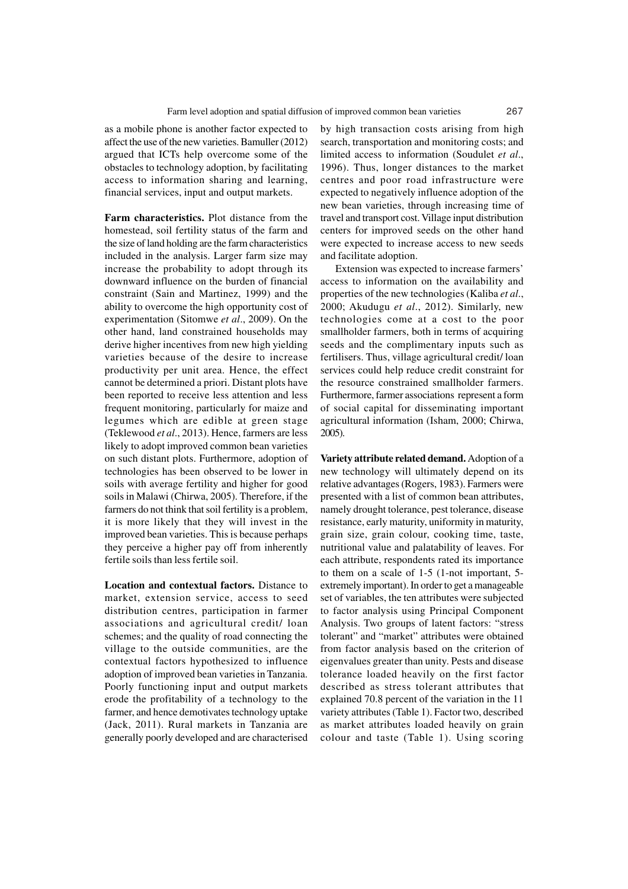as a mobile phone is another factor expected to affect the use of the new varieties. Bamuller (2012) argued that ICTs help overcome some of the obstacles to technology adoption, by facilitating access to information sharing and learning, financial services, input and output markets.

**Farm characteristics.** Plot distance from the homestead, soil fertility status of the farm and the size of land holding are the farm characteristics included in the analysis. Larger farm size may increase the probability to adopt through its downward influence on the burden of financial constraint (Sain and Martinez, 1999) and the ability to overcome the high opportunity cost of experimentation (Sitomwe *et al*., 2009). On the other hand, land constrained households may derive higher incentives from new high yielding varieties because of the desire to increase productivity per unit area. Hence, the effect cannot be determined a priori. Distant plots have been reported to receive less attention and less frequent monitoring, particularly for maize and legumes which are edible at green stage (Teklewood *et al*., 2013). Hence, farmers are less likely to adopt improved common bean varieties on such distant plots. Furthermore, adoption of technologies has been observed to be lower in soils with average fertility and higher for good soils in Malawi (Chirwa, 2005). Therefore, if the farmers do not think that soil fertility is a problem, it is more likely that they will invest in the improved bean varieties. This is because perhaps they perceive a higher pay off from inherently fertile soils than less fertile soil.

**Location and contextual factors.** Distance to market, extension service, access to seed distribution centres, participation in farmer associations and agricultural credit/ loan schemes; and the quality of road connecting the village to the outside communities, are the contextual factors hypothesized to influence adoption of improved bean varieties in Tanzania. Poorly functioning input and output markets erode the profitability of a technology to the farmer, and hence demotivates technology uptake (Jack, 2011). Rural markets in Tanzania are generally poorly developed and are characterised

by high transaction costs arising from high search, transportation and monitoring costs; and limited access to information (Soudulet *et al*., 1996). Thus, longer distances to the market centres and poor road infrastructure were expected to negatively influence adoption of the new bean varieties, through increasing time of travel and transport cost. Village input distribution centers for improved seeds on the other hand were expected to increase access to new seeds and facilitate adoption.

Extension was expected to increase farmers' access to information on the availability and properties of the new technologies (Kaliba *et al*., 2000; Akudugu *et al*., 2012). Similarly, new technologies come at a cost to the poor smallholder farmers, both in terms of acquiring seeds and the complimentary inputs such as fertilisers. Thus, village agricultural credit/ loan services could help reduce credit constraint for the resource constrained smallholder farmers. Furthermore, farmer associations represent a form of social capital for disseminating important agricultural information (Isham, 2000; Chirwa, 2005).

**Variety attribute related demand.** Adoption of a new technology will ultimately depend on its relative advantages (Rogers, 1983). Farmers were presented with a list of common bean attributes, namely drought tolerance, pest tolerance, disease resistance, early maturity, uniformity in maturity, grain size, grain colour, cooking time, taste, nutritional value and palatability of leaves. For each attribute, respondents rated its importance to them on a scale of 1-5 (1-not important, 5 extremely important). In order to get a manageable set of variables, the ten attributes were subjected to factor analysis using Principal Component Analysis. Two groups of latent factors: "stress tolerant" and "market" attributes were obtained from factor analysis based on the criterion of eigenvalues greater than unity. Pests and disease tolerance loaded heavily on the first factor described as stress tolerant attributes that explained 70.8 percent of the variation in the 11 variety attributes (Table 1). Factor two, described as market attributes loaded heavily on grain colour and taste (Table 1). Using scoring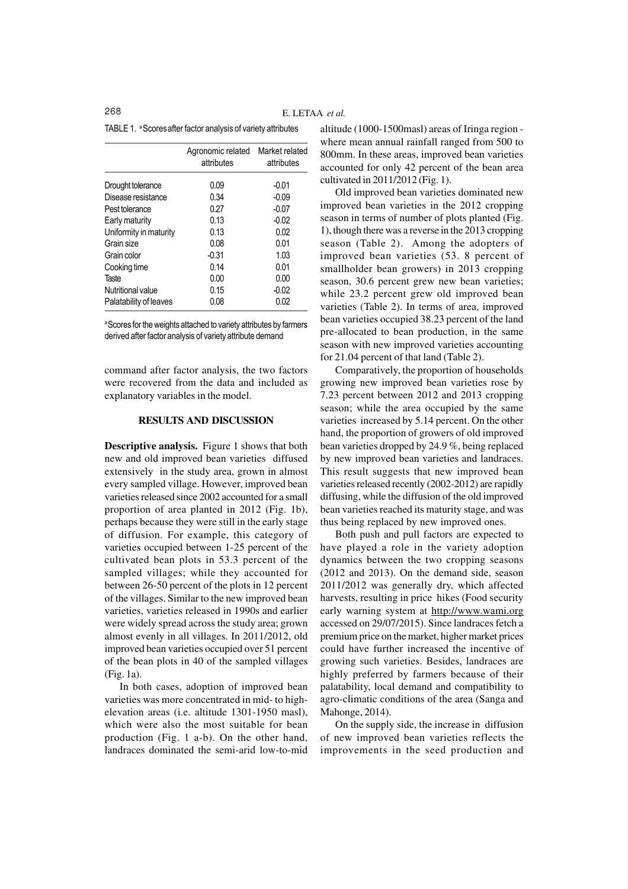TABLE 1. <sup>a</sup> Scores after factor analysis of variety attributes

|                        | Agronomic related<br>attributes | Market related<br>attributes |  |  |
|------------------------|---------------------------------|------------------------------|--|--|
| Drought tolerance      | 0.09                            | $-0.01$                      |  |  |
| Disease resistance     | 0.34                            | $-0.09$                      |  |  |
| Pest tolerance         | 0.27                            | $-0.07$                      |  |  |
| Early maturity         | 0.13                            | $-0.02$                      |  |  |
| Uniformity in maturity | 0.13                            | 0.02                         |  |  |
| Grain size             | 0.08                            | 0.01                         |  |  |
| Grain color            | $-0.31$                         | 1.03                         |  |  |
| Cooking time           | 0.14                            | 0.01                         |  |  |
| Taste                  | 0.00                            | 0.00                         |  |  |
| Nutritional value      | 0.15                            | $-0.02$                      |  |  |
| Palatability of leaves | 0.08                            | 0.02                         |  |  |

<sup>a</sup> Scores for the weights attached to variety attributes by farmers derived after factor analysis of variety attribute demand

command after factor analysis, the two factors were recovered from the data and included as explanatory variables in the model.

# **RESULTS AND DISCUSSION**

**Descriptive analysis.** Figure 1 shows that both new and old improved bean varieties diffused extensively in the study area, grown in almost every sampled village. However, improved bean varieties released since 2002 accounted for a small proportion of area planted in 2012 (Fig. 1b), perhaps because they were still in the early stage of diffusion. For example, this category of varieties occupied between 1-25 percent of the cultivated bean plots in 53.3 percent of the sampled villages; while they accounted for between 26-50 percent of the plots in 12 percent of the villages. Similar to the new improved bean varieties, varieties released in 1990s and earlier were widely spread across the study area; grown almost evenly in all villages. In 2011/2012, old improved bean varieties occupied over 51 percent of the bean plots in 40 of the sampled villages (Fig. 1a).

In both cases, adoption of improved bean varieties was more concentrated in mid- to highelevation areas (i.e. altitude 1301-1950 masl), which were also the most suitable for bean production (Fig. 1 a-b). On the other hand, landraces dominated the semi-arid low-to-mid altitude (1000-1500masl) areas of Iringa region where mean annual rainfall ranged from 500 to 800mm. In these areas, improved bean varieties accounted for only 42 percent of the bean area cultivated in 2011/2012 (Fig. 1).

Old improved bean varieties dominated new improved bean varieties in the 2012 cropping season in terms of number of plots planted (Fig. 1), though there was a reverse in the 2013 cropping season (Table 2). Among the adopters of improved bean varieties (53. 8 percent of smallholder bean growers) in 2013 cropping season, 30.6 percent grew new bean varieties; while 23.2 percent grew old improved bean varieties (Table 2). In terms of area, improved bean varieties occupied 38.23 percent of the land pre-allocated to bean production, in the same season with new improved varieties accounting for 21.04 percent of that land (Table 2).

Comparatively, the proportion of households growing new improved bean varieties rose by 7.23 percent between 2012 and 2013 cropping season; while the area occupied by the same varieties increased by 5.14 percent. On the other hand, the proportion of growers of old improved bean varieties dropped by 24.9 %, being replaced by new improved bean varieties and landraces. This result suggests that new improved bean varieties released recently (2002-2012) are rapidly diffusing, while the diffusion of the old improved bean varieties reached its maturity stage, and was thus being replaced by new improved ones.

Both push and pull factors are expected to have played a role in the variety adoption dynamics between the two cropping seasons (2012 and 2013). On the demand side, season 2011/2012 was generally dry, which affected harvests, resulting in price hikes (Food security early warning system at http://www.wami.org accessed on 29/07/2015). Since landraces fetch a premium price on the market, higher market prices could have further increased the incentive of growing such varieties. Besides, landraces are highly preferred by farmers because of their palatability, local demand and compatibility to agro-climatic conditions of the area (Sanga and Mahonge, 2014).

On the supply side, the increase in diffusion of new improved bean varieties reflects the improvements in the seed production and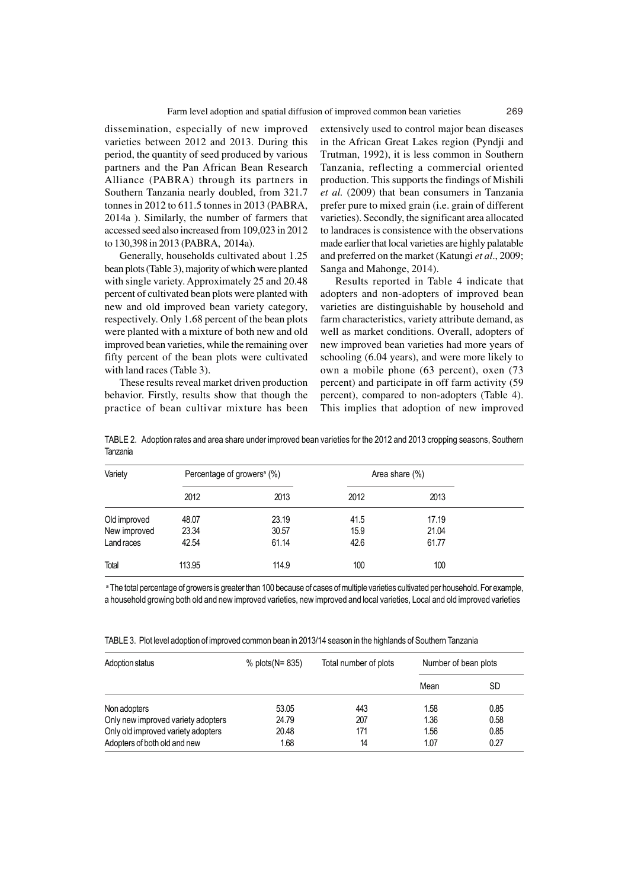dissemination, especially of new improved varieties between 2012 and 2013. During this period, the quantity of seed produced by various partners and the Pan African Bean Research Alliance (PABRA) through its partners in Southern Tanzania nearly doubled, from 321.7 tonnes in 2012 to 611.5 tonnes in 2013 (PABRA, 2014a ). Similarly, the number of farmers that accessed seed also increased from 109,023 in 2012 to 130,398 in 2013 (PABRA, 2014a).

Generally, households cultivated about 1.25 bean plots (Table 3), majority of which were planted with single variety. Approximately 25 and 20.48 percent of cultivated bean plots were planted with new and old improved bean variety category, respectively. Only 1.68 percent of the bean plots were planted with a mixture of both new and old improved bean varieties, while the remaining over fifty percent of the bean plots were cultivated with land races (Table 3).

These results reveal market driven production behavior. Firstly, results show that though the practice of bean cultivar mixture has been

extensively used to control major bean diseases in the African Great Lakes region (Pyndji and Trutman, 1992), it is less common in Southern Tanzania, reflecting a commercial oriented production. This supports the findings of Mishili *et al.* (2009) that bean consumers in Tanzania prefer pure to mixed grain (i.e. grain of different varieties). Secondly, the significant area allocated to landraces is consistence with the observations made earlier that local varieties are highly palatable and preferred on the market (Katungi *et al*., 2009; Sanga and Mahonge, 2014).

Results reported in Table 4 indicate that adopters and non-adopters of improved bean varieties are distinguishable by household and farm characteristics, variety attribute demand, as well as market conditions. Overall, adopters of new improved bean varieties had more years of schooling (6.04 years), and were more likely to own a mobile phone (63 percent), oxen (73 percent) and participate in off farm activity (59 percent), compared to non-adopters (Table 4). This implies that adoption of new improved

| Variety      | Percentage of growers <sup>a</sup> (%) |       | Area share (%) |       |  |
|--------------|----------------------------------------|-------|----------------|-------|--|
|              | 2012                                   | 2013  | 2012           | 2013  |  |
| Old improved | 48.07                                  | 23.19 | 41.5           | 17.19 |  |
| New improved | 23.34                                  | 30.57 | 15.9           | 21.04 |  |
| Land races   | 42.54                                  | 61.14 | 42.6           | 61.77 |  |
| Total        | 113.95                                 | 114.9 | 100            | 100   |  |

TABLE 2. Adoption rates and area share under improved bean varieties for the 2012 and 2013 cropping seasons, Southern Tanzania

a The total percentage of growers is greater than 100 because of cases of multiple varieties cultivated per household. For example, a household growing both old and new improved varieties, new improved and local varieties, Local and old improved varieties

TABLE 3. Plot level adoption of improved common bean in 2013/14 season in the highlands of Southern Tanzania

| Adoption status                    | % $plots(N = 835)$ | Total number of plots | Number of bean plots |           |
|------------------------------------|--------------------|-----------------------|----------------------|-----------|
|                                    |                    |                       | Mean                 | <b>SD</b> |
| Non adopters                       | 53.05              | 443                   | 1.58                 | 0.85      |
| Only new improved variety adopters | 24.79              | 207                   | 1.36                 | 0.58      |
| Only old improved variety adopters | 20.48              | 171                   | 1.56                 | 0.85      |
| Adopters of both old and new       | 1.68               | 14                    | 1.07                 | 0.27      |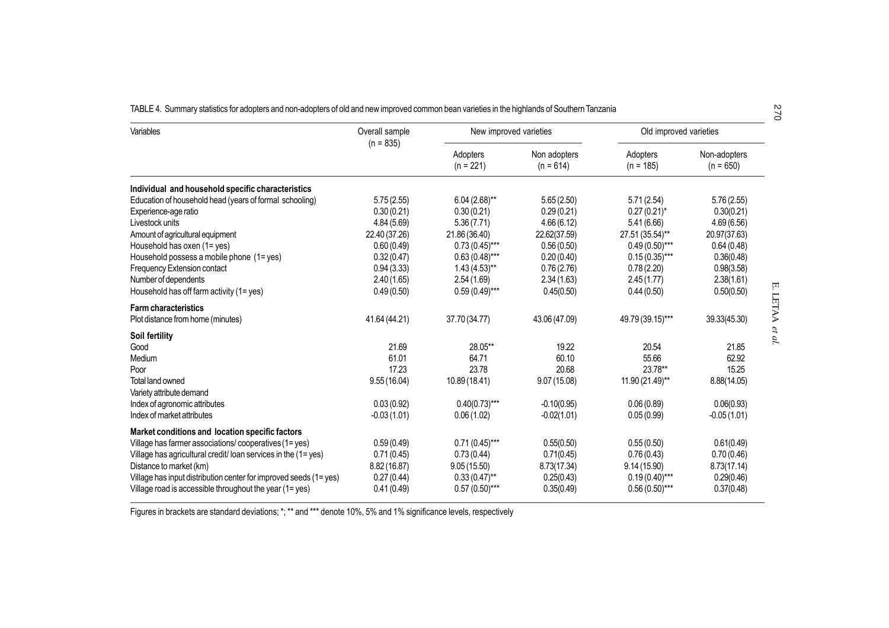|  |  | TABLE 4. Summary statistics for adopters and non-adopters of old and new improved common bean varieties in the highlands of Southern Tanzania |  |
|--|--|-----------------------------------------------------------------------------------------------------------------------------------------------|--|
|  |  |                                                                                                                                               |  |

| Variables                                                         | Overall sample<br>$(n = 835)$ | New improved varieties  |                             | Old improved varieties  |                             | 570             |
|-------------------------------------------------------------------|-------------------------------|-------------------------|-----------------------------|-------------------------|-----------------------------|-----------------|
|                                                                   |                               | Adopters<br>$(n = 221)$ | Non adopters<br>$(n = 614)$ | Adopters<br>$(n = 185)$ | Non-adopters<br>$(n = 650)$ |                 |
| Individual and household specific characteristics                 |                               |                         |                             |                         |                             |                 |
| Education of household head (years of formal schooling)           | 5.75(2.55)                    | $6.04(2.68)$ **         | 5.65(2.50)                  | 5.71(2.54)              | 5.76(2.55)                  |                 |
| Experience-age ratio                                              | 0.30(0.21)                    | 0.30(0.21)              | 0.29(0.21)                  | $0.27(0.21)^{*}$        | 0.30(0.21)                  |                 |
| Livestock units                                                   | 4.84(5.69)                    | 5.36(7.71)              | 4.66(6.12)                  | 5.41 (6.66)             | 4.69(6.56)                  |                 |
| Amount of agricultural equipment                                  | 22.40 (37.26)                 | 21.86 (36.40)           | 22.62(37.59)                | 27.51 (35.54)**         | 20.97(37.63)                |                 |
| Household has oxen (1= yes)                                       | 0.60(0.49)                    | $0.73(0.45)$ ***        | 0.56(0.50)                  | $0.49(0.50)$ ***        | 0.64(0.48)                  |                 |
| Household possess a mobile phone (1= yes)                         | 0.32(0.47)                    | $0.63(0.48)$ ***        | 0.20(0.40)                  | $0.15(0.35)$ ***        | 0.36(0.48)                  |                 |
| Frequency Extension contact                                       | 0.94(3.33)                    | $1.43(4.53)$ **         | 0.76(2.76)                  | 0.78(2.20)              | 0.98(3.58)                  |                 |
| Number of dependents                                              | 2.40(1.65)                    | 2.54(1.69)              | 2.34(1.63)                  | 2.45(1.77)              | 2.38(1.61)                  |                 |
| Household has off farm activity (1= yes)                          | 0.49(0.50)                    | $0.59(0.49)$ ***        | 0.45(0.50)                  | 0.44(0.50)              | 0.50(0.50)                  |                 |
| <b>Farm characteristics</b>                                       |                               |                         |                             |                         |                             |                 |
| Plot distance from home (minutes)                                 | 41.64 (44.21)                 | 37.70 (34.77)           | 43.06 (47.09)               | 49.79 (39.15)***        | 39.33(45.30)                | E. LETAA et al. |
| Soil fertility                                                    |                               |                         |                             |                         |                             |                 |
| Good                                                              | 21.69                         | 28.05**                 | 19.22                       | 20.54                   | 21.85                       |                 |
| Medium                                                            | 61.01                         | 64.71                   | 60.10                       | 55.66                   | 62.92                       |                 |
| Poor                                                              | 17.23                         | 23.78                   | 20.68                       | 23.78**                 | 15.25                       |                 |
| <b>Total land owned</b>                                           | 9.55(16.04)                   | 10.89 (18.41)           | 9.07(15.08)                 | 11.90 (21.49)**         | 8.88(14.05)                 |                 |
| Variety attribute demand                                          |                               |                         |                             |                         |                             |                 |
| Index of agronomic attributes                                     | 0.03(0.92)                    | $0.40(0.73)$ ***        | $-0.10(0.95)$               | 0.06(0.89)              | 0.06(0.93)                  |                 |
| Index of market attributes                                        | $-0.03(1.01)$                 | 0.06(1.02)              | $-0.02(1.01)$               | 0.05(0.99)              | $-0.05(1.01)$               |                 |
| Market conditions and location specific factors                   |                               |                         |                             |                         |                             |                 |
| Village has farmer associations/cooperatives (1= yes)             | 0.59(0.49)                    | $0.71(0.45)$ ***        | 0.55(0.50)                  | 0.55(0.50)              | 0.61(0.49)                  |                 |
| Village has agricultural credit/loan services in the (1= yes)     | 0.71(0.45)                    | 0.73(0.44)              | 0.71(0.45)                  | 0.76(0.43)              | 0.70(0.46)                  |                 |
| Distance to market (km)                                           | 8.82(16.87)                   | 9.05(15.50)             | 8.73(17.34)                 | 9.14(15.90)             | 8.73(17.14)                 |                 |
| Village has input distribution center for improved seeds (1= yes) | 0.27(0.44)                    | $0.33(0.47)$ **         | 0.25(0.43)                  | $0.19(0.40)$ ***        | 0.29(0.46)                  |                 |
| Village road is accessible throughout the year $(1 = yes)$        | 0.41(0.49)                    | $0.57(0.50)$ ***        | 0.35(0.49)                  | $0.56(0.50)$ ***        | 0.37(0.48)                  |                 |

Figures in brackets are standard deviations; \*; \*\* and \*\*\* denote 10%, 5% and 1% significance levels, respectively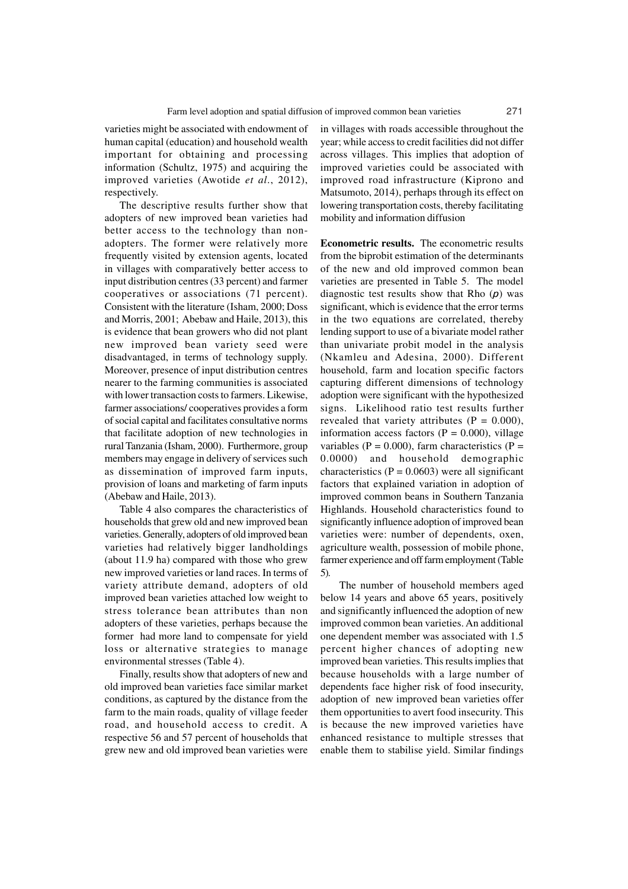varieties might be associated with endowment of human capital (education) and household wealth important for obtaining and processing information (Schultz, 1975) and acquiring the improved varieties (Awotide *et al*., 2012), respectively.

The descriptive results further show that adopters of new improved bean varieties had better access to the technology than nonadopters. The former were relatively more frequently visited by extension agents, located in villages with comparatively better access to input distribution centres (33 percent) and farmer cooperatives or associations (71 percent). Consistent with the literature (Isham, 2000; Doss and Morris, 2001; Abebaw and Haile, 2013), this is evidence that bean growers who did not plant new improved bean variety seed were disadvantaged, in terms of technology supply. Moreover, presence of input distribution centres nearer to the farming communities is associated with lower transaction costs to farmers. Likewise, farmer associations/ cooperatives provides a form of social capital and facilitates consultative norms that facilitate adoption of new technologies in rural Tanzania (Isham, 2000). Furthermore, group members may engage in delivery of services such as dissemination of improved farm inputs, provision of loans and marketing of farm inputs (Abebaw and Haile, 2013).

Table 4 also compares the characteristics of households that grew old and new improved bean varieties. Generally, adopters of old improved bean varieties had relatively bigger landholdings (about 11.9 ha) compared with those who grew new improved varieties or land races. In terms of variety attribute demand, adopters of old improved bean varieties attached low weight to stress tolerance bean attributes than non adopters of these varieties, perhaps because the former had more land to compensate for yield loss or alternative strategies to manage environmental stresses (Table 4).

Finally, results show that adopters of new and old improved bean varieties face similar market conditions, as captured by the distance from the farm to the main roads, quality of village feeder road, and household access to credit. A respective 56 and 57 percent of households that grew new and old improved bean varieties were

in villages with roads accessible throughout the year; while access to credit facilities did not differ across villages. This implies that adoption of improved varieties could be associated with improved road infrastructure (Kiprono and Matsumoto, 2014), perhaps through its effect on lowering transportation costs, thereby facilitating mobility and information diffusion

**Econometric results.** The econometric results from the biprobit estimation of the determinants of the new and old improved common bean varieties are presented in Table 5. The model diagnostic test results show that Rho (*p*) was significant, which is evidence that the error terms in the two equations are correlated, thereby lending support to use of a bivariate model rather than univariate probit model in the analysis (Nkamleu and Adesina, 2000). Different household, farm and location specific factors capturing different dimensions of technology adoption were significant with the hypothesized signs. Likelihood ratio test results further revealed that variety attributes  $(P = 0.000)$ , information access factors ( $P = 0.000$ ), village variables ( $P = 0.000$ ), farm characteristics ( $P =$ 0.0000) and household demographic characteristics ( $P = 0.0603$ ) were all significant factors that explained variation in adoption of improved common beans in Southern Tanzania Highlands. Household characteristics found to significantly influence adoption of improved bean varieties were: number of dependents, oxen, agriculture wealth, possession of mobile phone, farmer experience and off farm employment (Table 5).

 The number of household members aged below 14 years and above 65 years, positively and significantly influenced the adoption of new improved common bean varieties. An additional one dependent member was associated with 1.5 percent higher chances of adopting new improved bean varieties. This results implies that because households with a large number of dependents face higher risk of food insecurity, adoption of new improved bean varieties offer them opportunities to avert food insecurity. This is because the new improved varieties have enhanced resistance to multiple stresses that enable them to stabilise yield. Similar findings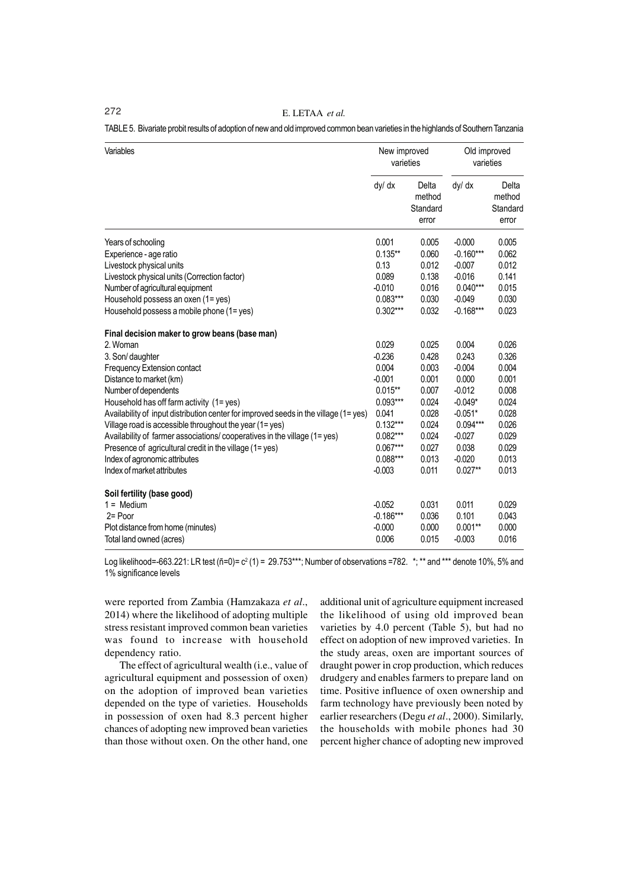TABLE 5. Bivariate probit results of adoption of new and old improved common bean varieties in the highlands of Southern Tanzania

| Variables                                                                            | New improved<br>varieties |                                      | Old improved<br>varieties |                                      |
|--------------------------------------------------------------------------------------|---------------------------|--------------------------------------|---------------------------|--------------------------------------|
|                                                                                      | dy/ dx                    | Delta<br>method<br>Standard<br>error | dy/ dx                    | Delta<br>method<br>Standard<br>error |
| Years of schooling                                                                   | 0.001                     | 0.005                                | $-0.000$                  | 0.005                                |
| Experience - age ratio                                                               | $0.135***$                | 0.060                                | $-0.160***$               | 0.062                                |
| Livestock physical units                                                             | 0.13                      | 0.012                                | $-0.007$                  | 0.012                                |
| Livestock physical units (Correction factor)                                         | 0.089                     | 0.138                                | $-0.016$                  | 0.141                                |
| Number of agricultural equipment                                                     | $-0.010$                  | 0.016                                | $0.040***$                | 0.015                                |
| Household possess an oxen (1= yes)                                                   | $0.083***$                | 0.030                                | $-0.049$                  | 0.030                                |
| Household possess a mobile phone (1= yes)                                            | $0.302***$                | 0.032                                | $-0.168***$               | 0.023                                |
| Final decision maker to grow beans (base man)                                        |                           |                                      |                           |                                      |
| 2. Woman                                                                             | 0.029                     | 0.025                                | 0.004                     | 0.026                                |
| 3. Son/ daughter                                                                     | $-0.236$                  | 0.428                                | 0.243                     | 0.326                                |
| Frequency Extension contact                                                          | 0.004                     | 0.003                                | $-0.004$                  | 0.004                                |
| Distance to market (km)                                                              | $-0.001$                  | 0.001                                | 0.000                     | 0.001                                |
| Number of dependents                                                                 | $0.015***$                | 0.007                                | $-0.012$                  | 0.008                                |
| Household has off farm activity (1= yes)                                             | $0.093***$                | 0.024                                | $-0.049*$                 | 0.024                                |
| Availability of input distribution center for improved seeds in the village (1= yes) | 0.041                     | 0.028                                | $-0.051*$                 | 0.028                                |
| Village road is accessible throughout the year (1= yes)                              | $0.132***$                | 0.024                                | $0.094***$                | 0.026                                |
| Availability of farmer associations/cooperatives in the village (1= yes)             | $0.082***$                | 0.024                                | $-0.027$                  | 0.029                                |
| Presence of agricultural credit in the village (1= yes)                              | $0.067***$                | 0.027                                | 0.038                     | 0.029                                |
| Index of agronomic attributes                                                        | 0.088***                  | 0.013                                | $-0.020$                  | 0.013                                |
| Index of market attributes                                                           | $-0.003$                  | 0.011                                | $0.027**$                 | 0.013                                |
| Soil fertility (base good)                                                           |                           |                                      |                           |                                      |
| $1 = \text{Median}$                                                                  | $-0.052$                  | 0.031                                | 0.011                     | 0.029                                |
| 2= Poor                                                                              | $-0.186***$               | 0.036                                | 0.101                     | 0.043                                |
| Plot distance from home (minutes)                                                    | $-0.000$                  | 0.000                                | $0.001**$                 | 0.000                                |
| Total land owned (acres)                                                             | 0.006                     | 0.015                                | $-0.003$                  | 0.016                                |

Log likelihood=-663.221: LR test (ñ=0)= c² (1) = 29.753\*\*\*; Number of observations =782.  $\,$ \*; \*\* and \*\*\* denote 10%, 5% and 1% significance levels

were reported from Zambia (Hamzakaza *et al*., 2014) where the likelihood of adopting multiple stress resistant improved common bean varieties was found to increase with household dependency ratio.

The effect of agricultural wealth (i.e., value of agricultural equipment and possession of oxen) on the adoption of improved bean varieties depended on the type of varieties. Households in possession of oxen had 8.3 percent higher chances of adopting new improved bean varieties than those without oxen. On the other hand, one additional unit of agriculture equipment increased the likelihood of using old improved bean varieties by 4.0 percent (Table 5), but had no effect on adoption of new improved varieties. In the study areas, oxen are important sources of draught power in crop production, which reduces drudgery and enables farmers to prepare land on time. Positive influence of oxen ownership and farm technology have previously been noted by earlier researchers (Degu *et al*., 2000). Similarly, the households with mobile phones had 30 percent higher chance of adopting new improved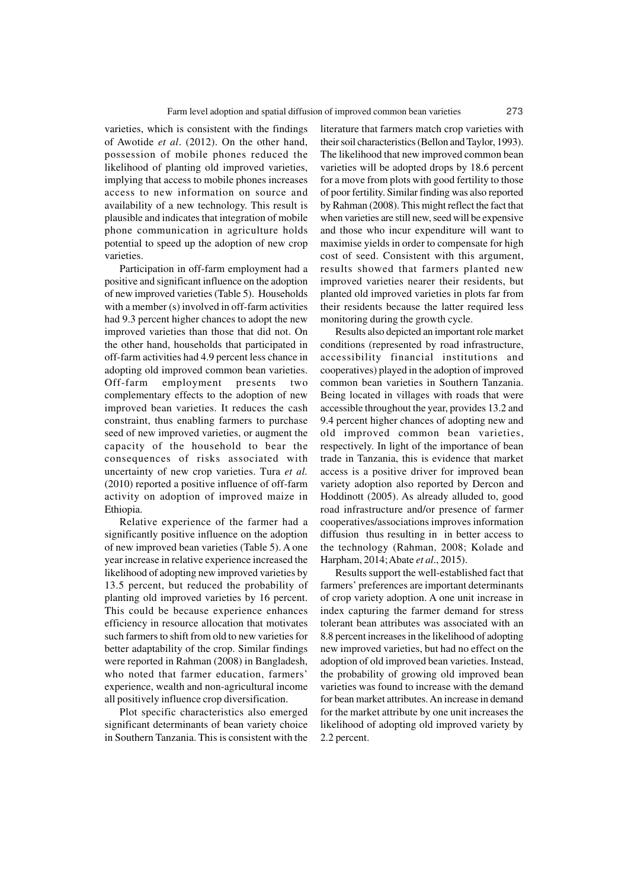varieties, which is consistent with the findings of Awotide *et al*. (2012). On the other hand, possession of mobile phones reduced the likelihood of planting old improved varieties, implying that access to mobile phones increases access to new information on source and availability of a new technology. This result is plausible and indicates that integration of mobile phone communication in agriculture holds potential to speed up the adoption of new crop varieties.

Participation in off-farm employment had a positive and significant influence on the adoption of new improved varieties (Table 5). Households with a member (s) involved in off-farm activities had 9.3 percent higher chances to adopt the new improved varieties than those that did not. On the other hand, households that participated in off-farm activities had 4.9 percent less chance in adopting old improved common bean varieties. Off-farm employment presents two complementary effects to the adoption of new improved bean varieties. It reduces the cash constraint, thus enabling farmers to purchase seed of new improved varieties, or augment the capacity of the household to bear the consequences of risks associated with uncertainty of new crop varieties. Tura *et al.* (2010) reported a positive influence of off-farm activity on adoption of improved maize in Ethiopia.

Relative experience of the farmer had a significantly positive influence on the adoption of new improved bean varieties (Table 5). A one year increase in relative experience increased the likelihood of adopting new improved varieties by 13.5 percent, but reduced the probability of planting old improved varieties by 16 percent. This could be because experience enhances efficiency in resource allocation that motivates such farmers to shift from old to new varieties for better adaptability of the crop. Similar findings were reported in Rahman (2008) in Bangladesh, who noted that farmer education, farmers' experience, wealth and non-agricultural income all positively influence crop diversification.

Plot specific characteristics also emerged significant determinants of bean variety choice in Southern Tanzania. This is consistent with the

literature that farmers match crop varieties with their soil characteristics (Bellon and Taylor, 1993). The likelihood that new improved common bean varieties will be adopted drops by 18.6 percent for a move from plots with good fertility to those of poor fertility. Similar finding was also reported by Rahman (2008). This might reflect the fact that when varieties are still new, seed will be expensive and those who incur expenditure will want to maximise yields in order to compensate for high cost of seed. Consistent with this argument, results showed that farmers planted new improved varieties nearer their residents, but planted old improved varieties in plots far from their residents because the latter required less monitoring during the growth cycle.

Results also depicted an important role market conditions (represented by road infrastructure, accessibility financial institutions and cooperatives) played in the adoption of improved common bean varieties in Southern Tanzania. Being located in villages with roads that were accessible throughout the year, provides 13.2 and 9.4 percent higher chances of adopting new and old improved common bean varieties, respectively. In light of the importance of bean trade in Tanzania, this is evidence that market access is a positive driver for improved bean variety adoption also reported by Dercon and Hoddinott (2005). As already alluded to, good road infrastructure and/or presence of farmer cooperatives/associations improves information diffusion thus resulting in in better access to the technology (Rahman, 2008; Kolade and Harpham, 2014; Abate *et al*., 2015).

Results support the well-established fact that farmers' preferences are important determinants of crop variety adoption. A one unit increase in index capturing the farmer demand for stress tolerant bean attributes was associated with an 8.8 percent increases in the likelihood of adopting new improved varieties, but had no effect on the adoption of old improved bean varieties. Instead, the probability of growing old improved bean varieties was found to increase with the demand for bean market attributes. An increase in demand for the market attribute by one unit increases the likelihood of adopting old improved variety by 2.2 percent.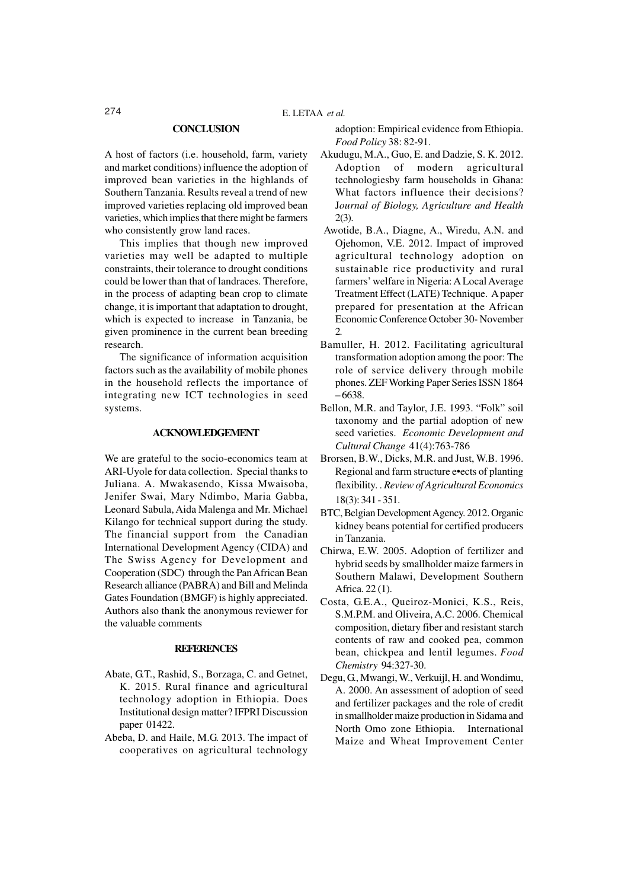#### **CONCLUSION**

A host of factors (i.e. household, farm, variety and market conditions) influence the adoption of improved bean varieties in the highlands of Southern Tanzania. Results reveal a trend of new improved varieties replacing old improved bean varieties, which implies that there might be farmers who consistently grow land races.

This implies that though new improved varieties may well be adapted to multiple constraints, their tolerance to drought conditions could be lower than that of landraces. Therefore, in the process of adapting bean crop to climate change, it is important that adaptation to drought, which is expected to increase in Tanzania, be given prominence in the current bean breeding research.

The significance of information acquisition factors such as the availability of mobile phones in the household reflects the importance of integrating new ICT technologies in seed systems.

### **ACKNOWLEDGEMENT**

We are grateful to the socio-economics team at ARI-Uyole for data collection. Special thanks to Juliana. A. Mwakasendo, Kissa Mwaisoba, Jenifer Swai, Mary Ndimbo, Maria Gabba, Leonard Sabula, Aida Malenga and Mr. Michael Kilango for technical support during the study. The financial support from the Canadian International Development Agency (CIDA) and The Swiss Agency for Development and Cooperation (SDC) through the Pan African Bean Research alliance (PABRA) and Bill and Melinda Gates Foundation (BMGF) is highly appreciated. Authors also thank the anonymous reviewer for the valuable comments

#### **REFERENCES**

- Abate, G.T., Rashid, S., Borzaga, C. and Getnet, K. 2015. Rural finance and agricultural technology adoption in Ethiopia. Does Institutional design matter? IFPRI Discussion paper 01422.
- Abeba, D. and Haile, M.G. 2013. The impact of cooperatives on agricultural technology

adoption: Empirical evidence from Ethiopia. *Food Policy* 38: 82-91.

- Akudugu, M.A., Guo, E. and Dadzie, S. K. 2012. Adoption of modern agricultural technologiesby farm households in Ghana: What factors influence their decisions? J*ournal of Biology, Agriculture and Health* 2(3).
- Awotide, B.A., Diagne, A., Wiredu, A.N. and Ojehomon, V.E. 2012. Impact of improved agricultural technology adoption on sustainable rice productivity and rural farmers' welfare in Nigeria: A Local Average Treatment Effect (LATE) Technique. A paper prepared for presentation at the African Economic Conference October 30- November  $\mathcal{D}$
- Bamuller, H. 2012. Facilitating agricultural transformation adoption among the poor: The role of service delivery through mobile phones. ZEF Working Paper Series ISSN 1864 – 6638.
- Bellon, M.R. and Taylor, J.E. 1993. "Folk" soil taxonomy and the partial adoption of new seed varieties. *Economic Development and Cultural Change* 41(4):763-786
- Brorsen, B.W., Dicks, M.R. and Just, W.B. 1996. Regional and farm structure e•ects of planting flexibility. . *Review of Agricultural Economics* 18(3): 341 - 351.
- BTC, Belgian Development Agency. 2012. Organic kidney beans potential for certified producers in Tanzania.
- Chirwa, E.W. 2005. Adoption of fertilizer and hybrid seeds by smallholder maize farmers in Southern Malawi, Development Southern Africa. 22 (1).
- Costa, G.E.A., Queiroz-Monici, K.S., Reis, S.M.P.M. and Oliveira, A.C. 2006. Chemical composition, dietary fiber and resistant starch contents of raw and cooked pea, common bean, chickpea and lentil legumes. *Food Chemistry* 94:327-30.
- Degu, G., Mwangi, W., Verkuijl, H. and Wondimu, A. 2000. An assessment of adoption of seed and fertilizer packages and the role of credit in smallholder maize production in Sidama and North Omo zone Ethiopia. International Maize and Wheat Improvement Center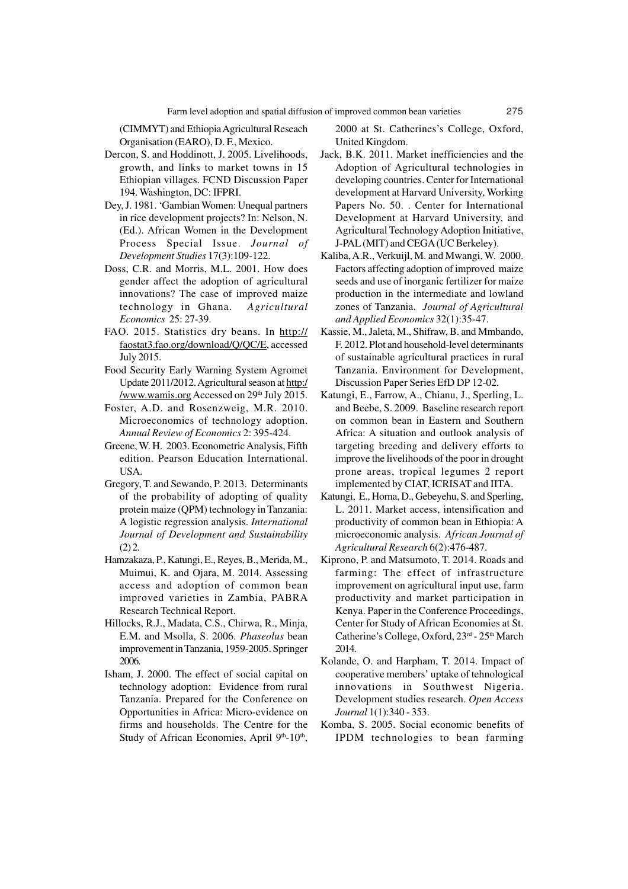(CIMMYT) and Ethiopia Agricultural Reseach Organisation (EARO), D. F., Mexico.

- Dercon, S. and Hoddinott, J. 2005. Livelihoods, growth, and links to market towns in 15 Ethiopian villages. FCND Discussion Paper 194. Washington, DC: IFPRI.
- Dey, J. 1981. 'Gambian Women: Unequal partners in rice development projects? In: Nelson, N. (Ed.). African Women in the Development Process Special Issue. *Journal of Development Studies* 17(3):109-122.
- Doss, C.R. and Morris, M.L. 2001. How does gender affect the adoption of agricultural innovations? The case of improved maize technology in Ghana. *Agricultural Economics* 25: 27-39.
- FAO. 2015. Statistics dry beans. In http:// faostat3.fao.org/download/Q/QC/E, accessed July 2015.
- Food Security Early Warning System Agromet Update 2011/2012. Agricultural season at http:/ /www.wamis.org Accessed on 29<sup>th</sup> July 2015.
- Foster, A.D. and Rosenzweig, M.R. 2010. Microeconomics of technology adoption. *Annual Review of Economics* 2: 395-424.
- Greene, W. H. 2003. Econometric Analysis, Fifth edition. Pearson Education International. USA.
- Gregory, T. and Sewando, P. 2013. Determinants of the probability of adopting of quality protein maize (QPM) technology in Tanzania: A logistic regression analysis. *International Journal of Development and Sustainability*  $(2)$  2.
- Hamzakaza, P., Katungi, E., Reyes, B., Merida, M., Muimui, K. and Ojara, M. 2014. Assessing access and adoption of common bean improved varieties in Zambia, PABRA Research Technical Report.
- Hillocks, R.J., Madata, C.S., Chirwa, R., Minja, E.M. and Msolla, S. 2006. *Phaseolus* bean improvement in Tanzania, 1959-2005. Springer 2006.
- Isham, J. 2000. The effect of social capital on technology adoption: Evidence from rural Tanzania. Prepared for the Conference on Opportunities in Africa: Micro-evidence on firms and households. The Centre for the Study of African Economies, April 9th-10<sup>th</sup>,

2000 at St. Catherines's College, Oxford, United Kingdom.

- Jack, B.K. 2011. Market inefficiencies and the Adoption of Agricultural technologies in developing countries. Center for International development at Harvard University, Working Papers No. 50. . Center for International Development at Harvard University, and Agricultural Technology Adoption Initiative, J-PAL (MIT) and CEGA (UC Berkeley).
- Kaliba, A.R., Verkuijl, M. and Mwangi, W. 2000. Factors affecting adoption of improved maize seeds and use of inorganic fertilizer for maize production in the intermediate and lowland zones of Tanzania. *Journal of Agricultural and Applied Economics* 32(1):35-47.
- Kassie, M., Jaleta, M., Shifraw, B. and Mmbando, F. 2012. Plot and household-level determinants of sustainable agricultural practices in rural Tanzania. Environment for Development, Discussion Paper Series EfD DP 12-02.
- Katungi, E., Farrow, A., Chianu, J., Sperling, L. and Beebe, S. 2009. Baseline research report on common bean in Eastern and Southern Africa: A situation and outlook analysis of targeting breeding and delivery efforts to improve the livelihoods of the poor in drought prone areas, tropical legumes 2 report implemented by CIAT, ICRISAT and IITA.
- Katungi, E., Horna, D., Gebeyehu, S. and Sperling, L. 2011. Market access, intensification and productivity of common bean in Ethiopia: A microeconomic analysis. *African Journal of Agricultural Research* 6(2):476-487.
- Kiprono, P. and Matsumoto, T. 2014. Roads and farming: The effect of infrastructure improvement on agricultural input use, farm productivity and market participation in Kenya. Paper in the Conference Proceedings, Center for Study of African Economies at St. Catherine's College, Oxford, 23rd - 25th March 2014.
- Kolande, O. and Harpham, T. 2014. Impact of cooperative members' uptake of tehnological innovations in Southwest Nigeria. Development studies research. *Open Access Journal* 1(1):340 - 353.
- Komba, S. 2005. Social economic benefits of IPDM technologies to bean farming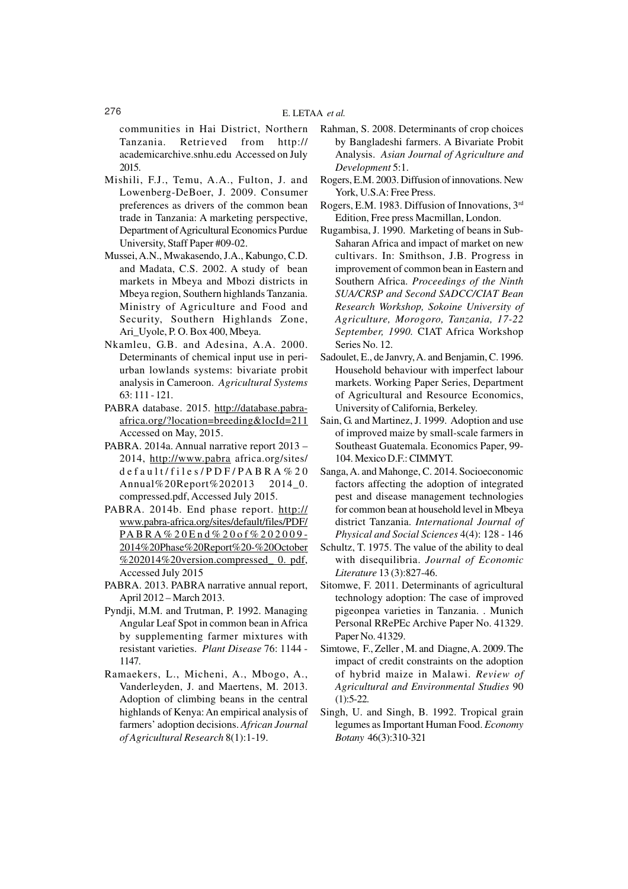communities in Hai District, Northern Tanzania. Retrieved from http:// academicarchive.snhu.edu Accessed on July 2015.

- Mishili, F.J., Temu, A.A., Fulton, J. and Lowenberg-DeBoer, J. 2009. Consumer preferences as drivers of the common bean trade in Tanzania: A marketing perspective, Department of Agricultural Economics Purdue University, Staff Paper #09-02.
- Mussei, A.N., Mwakasendo, J.A., Kabungo, C.D. and Madata, C.S. 2002. A study of bean markets in Mbeya and Mbozi districts in Mbeya region, Southern highlands Tanzania. Ministry of Agriculture and Food and Security, Southern Highlands Zone, Ari\_Uyole, P. O. Box 400, Mbeya.
- Nkamleu, G.B. and Adesina, A.A. 2000. Determinants of chemical input use in periurban lowlands systems: bivariate probit analysis in Cameroon. *Agricultural Systems* 63: 111 - 121.
- PABRA database. 2015. http://database.pabraafrica.org/?location=breeding&locId=211 Accessed on May, 2015.
- PABRA. 2014a. Annual narrative report 2013 2014, http://www.pabra africa.org/sites/ default/files/PDF/PABRA%20 Annual%20Report%202013 2014\_0. compressed.pdf, Accessed July 2015.
- PABRA. 2014b. End phase report. http:// www.pabra-africa.org/sites/default/files/PDF/ PABRA%20End%20of%202009- 2014%20Phase%20Report%20-%20October %202014%20version.compressed\_ 0. pdf, Accessed July 2015
- PABRA. 2013. PABRA narrative annual report, April 2012 – March 2013.
- Pyndji, M.M. and Trutman, P. 1992. Managing Angular Leaf Spot in common bean in Africa by supplementing farmer mixtures with resistant varieties. *Plant Disease* 76: 1144 - 1147.
- Ramaekers, L., Micheni, A., Mbogo, A., Vanderleyden, J. and Maertens, M. 2013. Adoption of climbing beans in the central highlands of Kenya: An empirical analysis of farmers' adoption decisions. *African Journal of Agricultural Research* 8(1):1-19.
- Rahman, S. 2008. Determinants of crop choices by Bangladeshi farmers. A Bivariate Probit Analysis. *Asian Journal of Agriculture and Development* 5:1.
- Rogers, E.M. 2003. Diffusion of innovations. New York, U.S.A: Free Press.
- Rogers, E.M. 1983. Diffusion of Innovations, 3rd Edition, Free press Macmillan, London.
- Rugambisa, J. 1990. Marketing of beans in Sub-Saharan Africa and impact of market on new cultivars. In: Smithson, J.B. Progress in improvement of common bean in Eastern and Southern Africa. *Proceedings of the Ninth SUA/CRSP and Second SADCC/CIAT Bean Research Workshop, Sokoine University of Agriculture, Morogoro, Tanzania, 17-22 September, 1990.* CIAT Africa Workshop Series No. 12.
- Sadoulet, E., de Janvry, A. and Benjamin, C. 1996. Household behaviour with imperfect labour markets. Working Paper Series, Department of Agricultural and Resource Economics, University of California, Berkeley.
- Sain, G. and Martinez, J. 1999. Adoption and use of improved maize by small-scale farmers in Southeast Guatemala. Economics Paper, 99- 104. Mexico D.F.: CIMMYT.
- Sanga, A. and Mahonge, C. 2014. Socioeconomic factors affecting the adoption of integrated pest and disease management technologies for common bean at household level in Mbeya district Tanzania. *International Journal of Physical and Social Sciences* 4(4): 128 - 146
- Schultz, T. 1975. The value of the ability to deal with disequilibria. *Journal of Economic Literature* 13 (3):827-46.
- Sitomwe, F. 2011. Determinants of agricultural technology adoption: The case of improved pigeonpea varieties in Tanzania. . Munich Personal RRePEc Archive Paper No. 41329. Paper No. 41329.
- Simtowe, F., Zeller , M. and Diagne, A. 2009. The impact of credit constraints on the adoption of hybrid maize in Malawi. *Review of Agricultural and Environmental Studies* 90  $(1):$ 5-22.
- Singh, U. and Singh, B. 1992. Tropical grain legumes as Important Human Food. *Economy Botany* 46(3):310-321